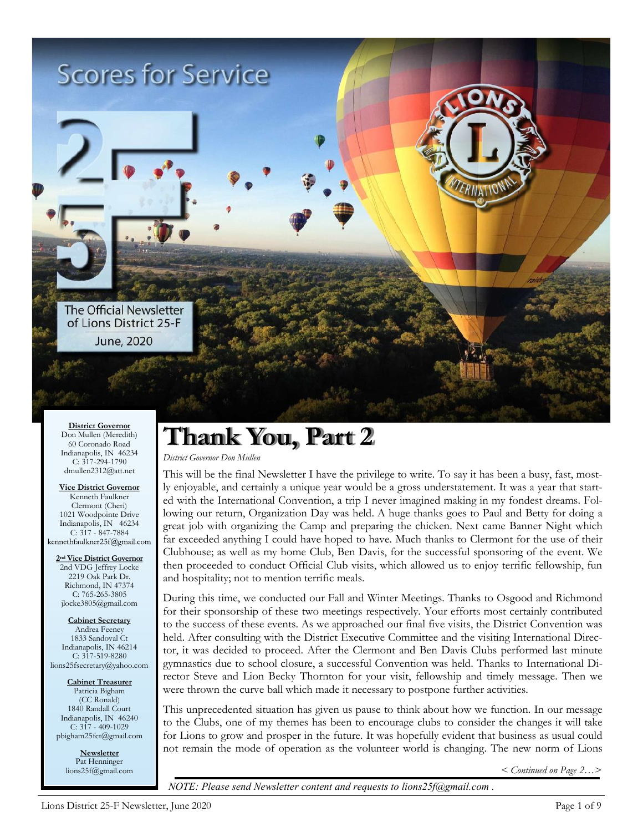

**District Governor** Don Mullen (Meredith) 60 Coronado Road Indianapolis, IN 46234 C: 317-294-1790 dmullen2312@att.net

**Vice District Governor** Kenneth Faulkner Clermont (Cheri) 1021 Woodpointe Drive Indianapolis, IN 46234 C:  $3\overline{17} - 847 - 7884$ <br>kennethfaulkner25f@gmail.com

**2nd Vice District Governor** 2nd VDG Jeffrey Locke 2219 Oak Park Dr. Richmond, IN 47374 C: 765-265-3805 jlocke3805@gmail.com

**Cabinet Secretary** Andrea Feeney 1833 Sandoval Ct Indianapolis, IN 46214 C: 317-519-8280 lions25fsecretary@yahoo.com

**Cabinet Treasurer** Patricia Bigham (CC Ronald) 1840 Randall Court Indianapolis, IN 46240  $C: 317 - 409 - 1029$ pbigham25fct@gmail.com

> **Newsletter** Pat Henninger lions25f@gmail.com

## **Thank You, Part 2**

*District Governor Don Mullen*

This will be the final Newsletter I have the privilege to write. To say it has been a busy, fast, mostly enjoyable, and certainly a unique year would be a gross understatement. It was a year that started with the International Convention, a trip I never imagined making in my fondest dreams. Following our return, Organization Day was held. A huge thanks goes to Paul and Betty for doing a great job with organizing the Camp and preparing the chicken. Next came Banner Night which far exceeded anything I could have hoped to have. Much thanks to Clermont for the use of their Clubhouse; as well as my home Club, Ben Davis, for the successful sponsoring of the event. We then proceeded to conduct Official Club visits, which allowed us to enjoy terrific fellowship, fun and hospitality; not to mention terrific meals.

During this time, we conducted our Fall and Winter Meetings. Thanks to Osgood and Richmond for their sponsorship of these two meetings respectively. Your efforts most certainly contributed to the success of these events. As we approached our final five visits, the District Convention was held. After consulting with the District Executive Committee and the visiting International Director, it was decided to proceed. After the Clermont and Ben Davis Clubs performed last minute gymnastics due to school closure, a successful Convention was held. Thanks to International Director Steve and Lion Becky Thornton for your visit, fellowship and timely message. Then we were thrown the curve ball which made it necessary to postpone further activities.

This unprecedented situation has given us pause to think about how we function. In our message to the Clubs, one of my themes has been to encourage clubs to consider the changes it will take for Lions to grow and prosper in the future. It was hopefully evident that business as usual could not remain the mode of operation as the volunteer world is changing. The new norm of Lions

*< Continued on Page 2…>* 

*NOTE: Please send Newsletter content and requests to lions25f@gmail.com .*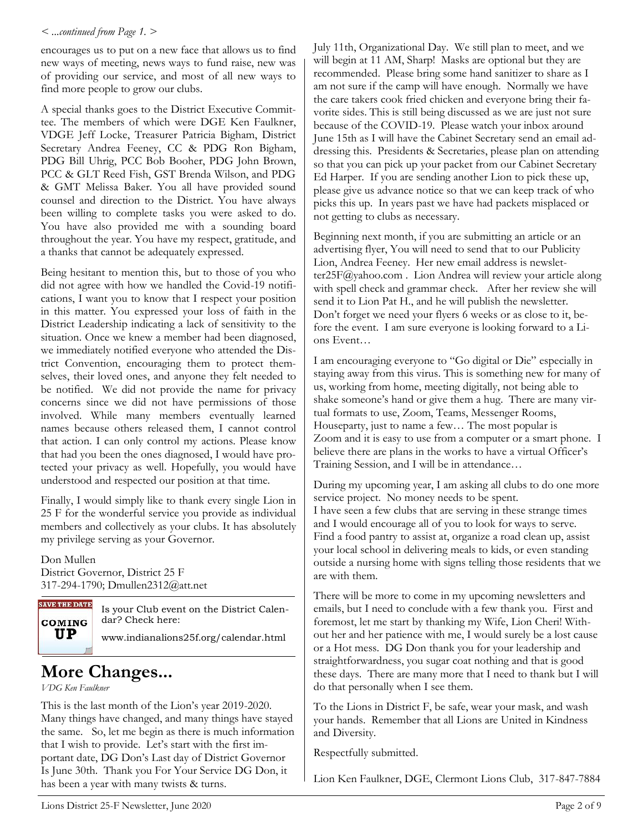#### *< ...continued from Page 1. >*

encourages us to put on a new face that allows us to find new ways of meeting, news ways to fund raise, new was of providing our service, and most of all new ways to find more people to grow our clubs.

A special thanks goes to the District Executive Committee. The members of which were DGE Ken Faulkner, VDGE Jeff Locke, Treasurer Patricia Bigham, District Secretary Andrea Feeney, CC & PDG Ron Bigham, PDG Bill Uhrig, PCC Bob Booher, PDG John Brown, PCC & GLT Reed Fish, GST Brenda Wilson, and PDG & GMT Melissa Baker. You all have provided sound counsel and direction to the District. You have always been willing to complete tasks you were asked to do. You have also provided me with a sounding board throughout the year. You have my respect, gratitude, and a thanks that cannot be adequately expressed.

Being hesitant to mention this, but to those of you who did not agree with how we handled the Covid-19 notifications, I want you to know that I respect your position in this matter. You expressed your loss of faith in the District Leadership indicating a lack of sensitivity to the situation. Once we knew a member had been diagnosed, we immediately notified everyone who attended the District Convention, encouraging them to protect themselves, their loved ones, and anyone they felt needed to be notified. We did not provide the name for privacy concerns since we did not have permissions of those involved. While many members eventually learned names because others released them, I cannot control that action. I can only control my actions. Please know that had you been the ones diagnosed, I would have protected your privacy as well. Hopefully, you would have understood and respected our position at that time.

Finally, I would simply like to thank every single Lion in 25 F for the wonderful service you provide as individual members and collectively as your clubs. It has absolutely my privilege serving as your Governor.

Don Mullen District Governor, District 25 F 317-294-1790; Dmullen2312@att.net



Is your Club event on the District Calendar? Check here:

www.indianalions25f.org/calendar.html

## **More Changes...**

*VDG Ken Faulkner*

This is the last month of the Lion's year 2019-2020. Many things have changed, and many things have stayed the same. So, let me begin as there is much information that I wish to provide. Let's start with the first important date, DG Don's Last day of District Governor Is June 30th. Thank you For Your Service DG Don, it has been a year with many twists & turns.

July 11th, Organizational Day. We still plan to meet, and we will begin at 11 AM, Sharp! Masks are optional but they are recommended. Please bring some hand sanitizer to share as I am not sure if the camp will have enough. Normally we have the care takers cook fried chicken and everyone bring their favorite sides. This is still being discussed as we are just not sure because of the COVID-19. Please watch your inbox around June 15th as I will have the Cabinet Secretary send an email addressing this. Presidents & Secretaries, please plan on attending so that you can pick up your packet from our Cabinet Secretary Ed Harper. If you are sending another Lion to pick these up, please give us advance notice so that we can keep track of who picks this up. In years past we have had packets misplaced or not getting to clubs as necessary.

Beginning next month, if you are submitting an article or an advertising flyer, You will need to send that to our Publicity Lion, Andrea Feeney. Her new email address is newsletter25F@yahoo.com . Lion Andrea will review your article along with spell check and grammar check. After her review she will send it to Lion Pat H., and he will publish the newsletter. Don't forget we need your flyers 6 weeks or as close to it, before the event. I am sure everyone is looking forward to a Lions Event…

I am encouraging everyone to "Go digital or Die" especially in staying away from this virus. This is something new for many of us, working from home, meeting digitally, not being able to shake someone's hand or give them a hug. There are many virtual formats to use, Zoom, Teams, Messenger Rooms, Houseparty, just to name a few… The most popular is Zoom and it is easy to use from a computer or a smart phone. I believe there are plans in the works to have a virtual Officer's Training Session, and I will be in attendance…

During my upcoming year, I am asking all clubs to do one more service project. No money needs to be spent. I have seen a few clubs that are serving in these strange times and I would encourage all of you to look for ways to serve. Find a food pantry to assist at, organize a road clean up, assist your local school in delivering meals to kids, or even standing outside a nursing home with signs telling those residents that we are with them.

There will be more to come in my upcoming newsletters and emails, but I need to conclude with a few thank you. First and foremost, let me start by thanking my Wife, Lion Cheri! Without her and her patience with me, I would surely be a lost cause or a Hot mess. DG Don thank you for your leadership and straightforwardness, you sugar coat nothing and that is good these days. There are many more that I need to thank but I will do that personally when I see them.

To the Lions in District F, be safe, wear your mask, and wash your hands. Remember that all Lions are United in Kindness and Diversity.

Respectfully submitted.

Lion Ken Faulkner, DGE, Clermont Lions Club, 317-847-7884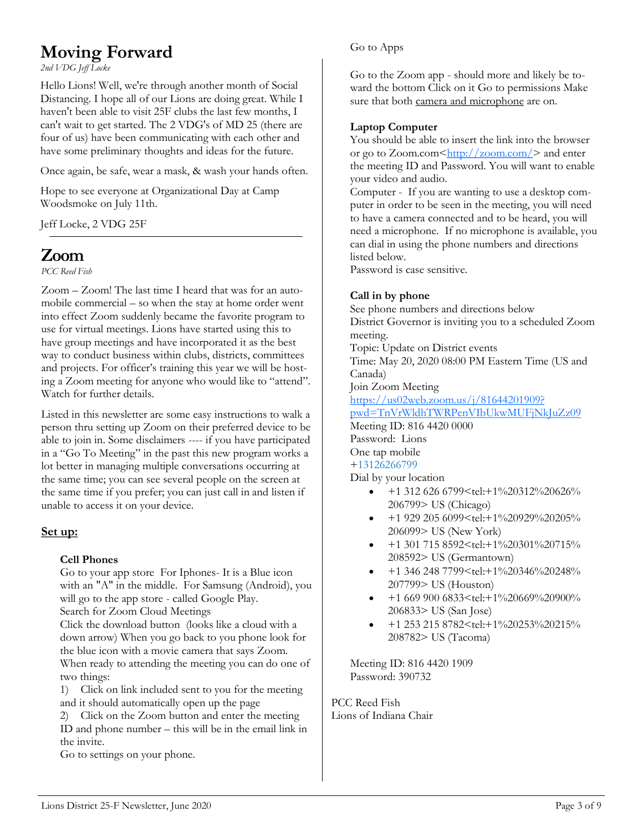## **Moving Forward**

*2nd VDG Jeff Locke*

Hello Lions! Well, we're through another month of Social Distancing. I hope all of our Lions are doing great. While I haven't been able to visit 25F clubs the last few months, I can't wait to get started. The 2 VDG's of MD 25 (there are four of us) have been communicating with each other and have some preliminary thoughts and ideas for the future.

Once again, be safe, wear a mask, & wash your hands often.

Hope to see everyone at Organizational Day at Camp Woodsmoke on July 11th.

Jeff Locke, 2 VDG 25F

## $Z<sub>norm</sub>$

*PCC Reed Fish*

Zoom – Zoom! The last time I heard that was for an automobile commercial – so when the stay at home order went into effect Zoom suddenly became the favorite program to use for virtual meetings. Lions have started using this to have group meetings and have incorporated it as the best way to conduct business within clubs, districts, committees and projects. For officer's training this year we will be hosting a Zoom meeting for anyone who would like to "attend". Watch for further details.

Listed in this newsletter are some easy instructions to walk a person thru setting up Zoom on their preferred device to be able to join in. Some disclaimers ---- if you have participated in a "Go To Meeting" in the past this new program works a lot better in managing multiple conversations occurring at the same time; you can see several people on the screen at the same time if you prefer; you can just call in and listen if unable to access it on your device.

#### **Set up:**

#### **Cell Phones**

Go to your app store For Iphones- It is a Blue icon with an "A" in the middle. For Samsung (Android), you will go to the app store - called Google Play.

Search for Zoom Cloud Meetings

Click the download button (looks like a cloud with a down arrow) When you go back to you phone look for the blue icon with a movie camera that says Zoom. When ready to attending the meeting you can do one of two things:

1) Click on link included sent to you for the meeting and it should automatically open up the page

2) Click on the Zoom button and enter the meeting ID and phone number – this will be in the email link in the invite.

Go to settings on your phone.

#### Go to Apps

Go to the Zoom app - should more and likely be toward the bottom Click on it Go to permissions Make sure that both camera and microphone are on.

#### **Laptop Computer**

You should be able to insert the link into the browser or go to Zoom.com<[http://zoom.com/>](http://zoom.com/) and enter the meeting ID and Password. You will want to enable your video and audio.

Computer - If you are wanting to use a desktop computer in order to be seen in the meeting, you will need to have a camera connected and to be heard, you will need a microphone. If no microphone is available, you can dial in using the phone numbers and directions listed below.

Password is case sensitive.

#### **Call in by phone**

See phone numbers and directions below District Governor is inviting you to a scheduled Zoom meeting. Topic: Update on District events Time: May 20, 2020 08:00 PM Eastern Time (US and Canada) Join Zoom Meeting [https://us02web.zoom.us/j/81644201909?](https://us02web.zoom.us/j/81644201909?pwd=TnVrWldhTWRPenVIbUkwMUFjNkJuZz09) [pwd=TnVrWldhTWRPenVIbUkwMUFjNkJuZz09](https://us02web.zoom.us/j/81644201909?pwd=TnVrWldhTWRPenVIbUkwMUFjNkJuZz09) Meeting ID: 816 4420 0000 Password: Lions One tap mobile +13126266799 Dial by your location

- $\bullet$  +1 312 626 6799 <tel: +1%20312%20626% 206799> US (Chicago)
- +1 929 205 6099<tel:+1%20929%20205% 206099> US (New York)
- +1 301 715 8592<tel:+1%20301%20715% 208592> US (Germantown)
- +1 346 248 7799<tel:+1%20346%20248% 207799> US (Houston)
- +1 669 900 6833<tel:+1%20669%20900% 206833> US (San Jose)
- +1 253 215 8782<tel:+1%20253%20215% 208782> US (Tacoma)

Meeting ID: 816 4420 1909 Password: 390732

PCC Reed Fish Lions of Indiana Chair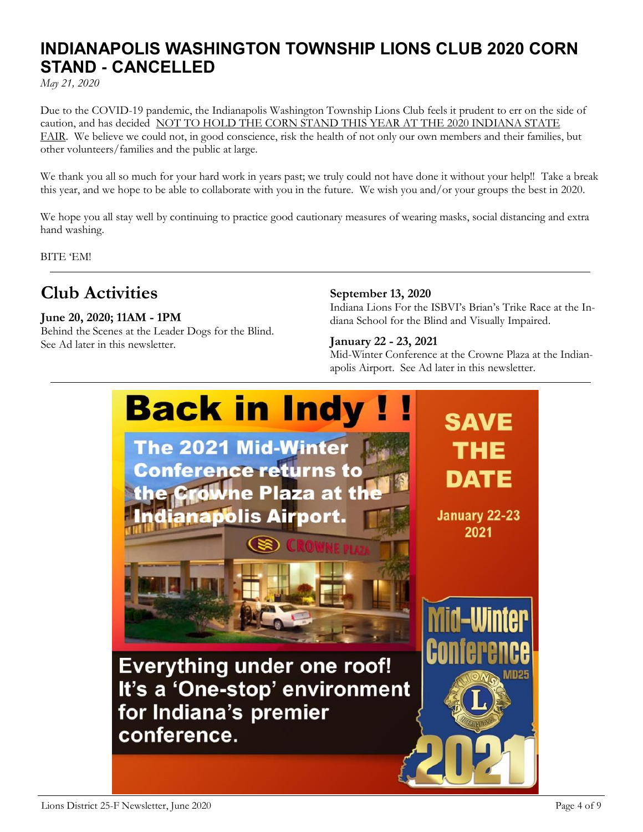## **INDIANAPOLIS WASHINGTON TOWNSHIP LIONS CLUB 2020 CORN STAND - CANCELLED**

*May 21, 2020*

Due to the COVID-19 pandemic, the Indianapolis Washington Township Lions Club feels it prudent to err on the side of caution, and has decided NOT TO HOLD THE CORN STAND THIS YEAR AT THE 2020 INDIANA STATE FAIR. We believe we could not, in good conscience, risk the health of not only our own members and their families, but other volunteers/families and the public at large.

We thank you all so much for your hard work in years past; we truly could not have done it without your help!! Take a break this year, and we hope to be able to collaborate with you in the future. We wish you and/or your groups the best in 2020.

We hope you all stay well by continuing to practice good cautionary measures of wearing masks, social distancing and extra hand washing.

BITE 'EM!

## **Club Activities**

#### **June 20, 2020; 11AM - 1PM**

Behind the Scenes at the Leader Dogs for the Blind. See Ad later in this newsletter.

#### **September 13, 2020**

Indiana Lions For the ISBVI's Brian's Trike Race at the Indiana School for the Blind and Visually Impaired.

#### **January 22 - 23, 2021**

Mid-Winter Conference at the Crowne Plaza at the Indianapolis Airport. See Ad later in this newsletter.

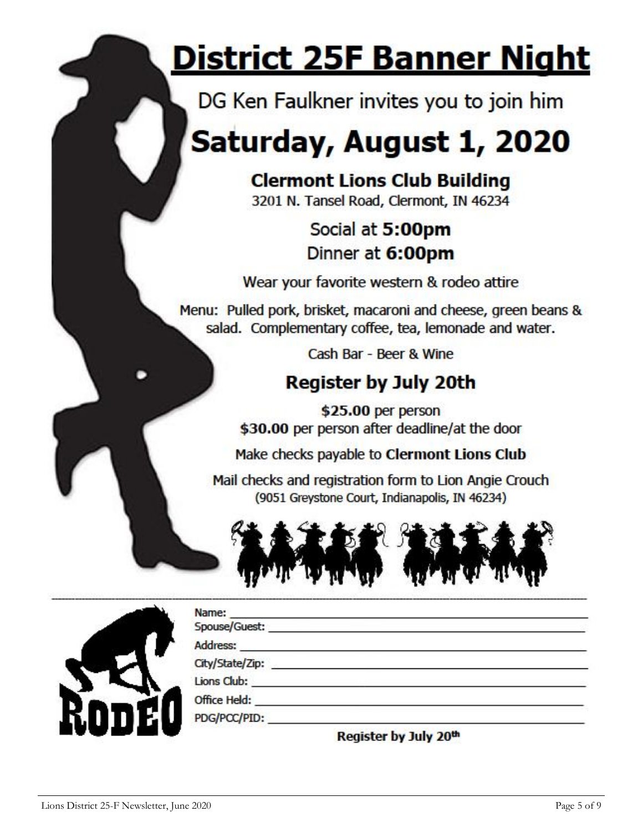# <u>District 25F Banner Night</u>

DG Ken Faulkner invites you to join him

## Saturday, August 1, 2020

## **Clermont Lions Club Building**

3201 N. Tansel Road, Clermont, IN 46234

## Social at 5:00pm Dinner at 6:00pm

Wear your favorite western & rodeo attire

Menu: Pulled pork, brisket, macaroni and cheese, green beans & salad. Complementary coffee, tea, lemonade and water.

Cash Bar - Beer & Wine

## **Register by July 20th**

\$25.00 per person \$30.00 per person after deadline/at the door

Make checks payable to Clermont Lions Club

Mail checks and registration form to Lion Angie Crouch (9051 Greystone Court, Indianapolis, IN 46234)



| <b>KODEO</b> |  |
|--------------|--|
|              |  |

| Name:                       |                                                                               |  |
|-----------------------------|-------------------------------------------------------------------------------|--|
| Spouse/Guest: New York 1999 |                                                                               |  |
|                             |                                                                               |  |
|                             |                                                                               |  |
|                             |                                                                               |  |
| Office Held: _____          |                                                                               |  |
| PDG/PCC/PID:                |                                                                               |  |
|                             | Associated in the company of the art conclusion and the company of the second |  |

Register by July 20th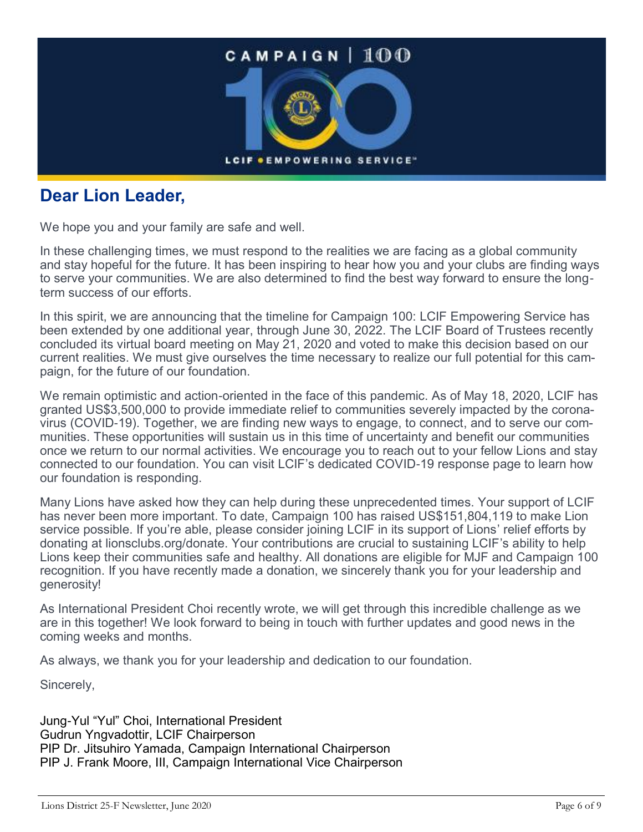

### **Dear Lion Leader,**

We hope you and your family are safe and well.

In these challenging times, we must respond to the realities we are facing as a global community and stay hopeful for the future. It has been inspiring to hear how you and your clubs are finding ways to serve your communities. We are also determined to find the best way forward to ensure the longterm success of our efforts.

In this spirit, we are announcing that the timeline for Campaign 100: LCIF Empowering Service has been extended by one additional year, through June 30, 2022. The LCIF Board of Trustees recently concluded its virtual board meeting on May 21, 2020 and voted to make this decision based on our current realities. We must give ourselves the time necessary to realize our full potential for this campaign, for the future of our foundation.

We remain optimistic and action-oriented in the face of this pandemic. As of May 18, 2020, LCIF has granted US\$3,500,000 to provide immediate relief to communities severely impacted by the coronavirus (COVID-19). Together, we are finding new ways to engage, to connect, and to serve our communities. These opportunities will sustain us in this time of uncertainty and benefit our communities once we return to our normal activities. We encourage you to reach out to your fellow Lions and stay connected to our foundation. You can visit LCIF's dedicated COVID-19 response page to learn how our foundation is responding.

Many Lions have asked how they can help during these unprecedented times. Your support of LCIF has never been more important. To date, Campaign 100 has raised US\$151,804,119 to make Lion service possible. If you're able, please consider joining LCIF in its support of Lions' relief efforts by donating at lionsclubs.org/donate. Your contributions are crucial to sustaining LCIF's ability to help Lions keep their communities safe and healthy. All donations are eligible for MJF and Campaign 100 recognition. If you have recently made a donation, we sincerely thank you for your leadership and generosity!

As International President Choi recently wrote, we will get through this incredible challenge as we are in this together! We look forward to being in touch with further updates and good news in the coming weeks and months.

As always, we thank you for your leadership and dedication to our foundation.

Sincerely,

Jung-Yul "Yul" Choi, International President Gudrun Yngvadottir, LCIF Chairperson PIP Dr. Jitsuhiro Yamada, Campaign International Chairperson PIP J. Frank Moore, III, Campaign International Vice Chairperson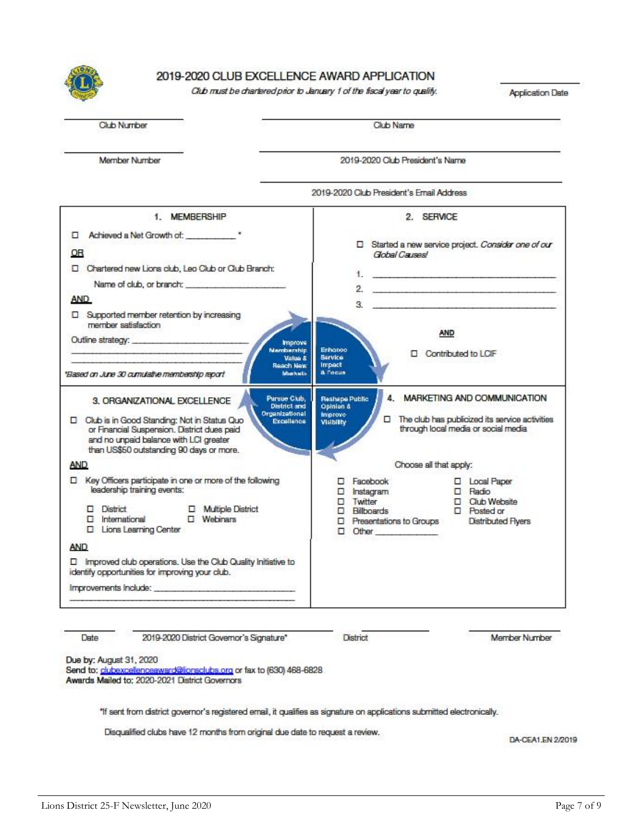

#### 2019-2020 CLUB EXCELLENCE AWARD APPLICATION

Club must be chartered prior to January 1 of the fiscal year to quality.

**Application Date** 

|  | <b>Club Number</b> |  |
|--|--------------------|--|
|  |                    |  |

Club Name

Member Number

2019-2020 Club President's Name



Date 2019-2020 District Governor's Signature" **District** 

Member Number

Due by: August 31, 2020

Send to: clubexcellenceaward@lionsclubs.org or fax to (630) 468-6828 Awards Mailed to: 2020-2021 District Governors

"If sent from district governor's registered email, it qualifies as signature on applications submitted electronically.

Disqualified clubs have 12 months from original due date to request a review.

DA-CEA1.EN 2/2019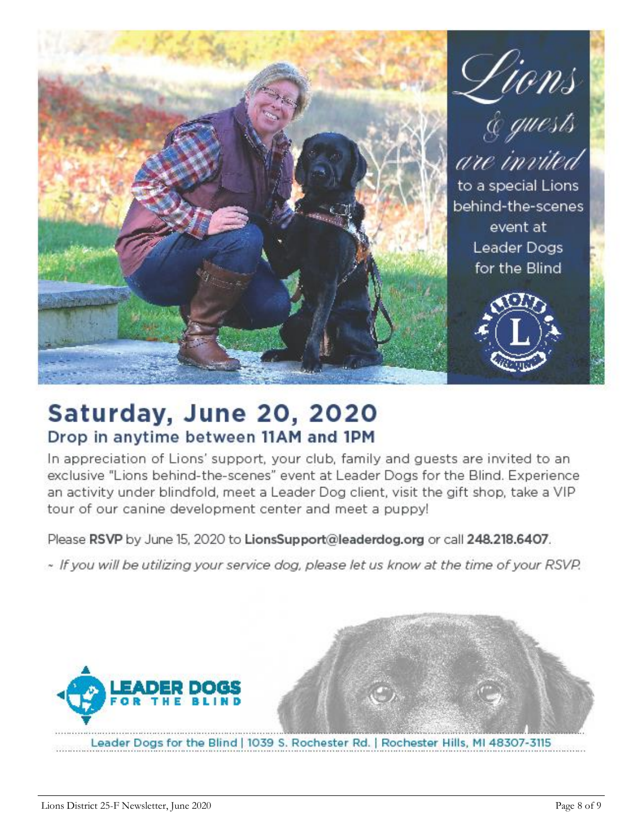

## Saturday, June 20, 2020 Drop in anytime between 11AM and 1PM

In appreciation of Lions' support, your club, family and guests are invited to an exclusive "Lions behind-the-scenes" event at Leader Dogs for the Blind. Experience an activity under blindfold, meet a Leader Dog client, visit the gift shop, take a VIP tour of our canine development center and meet a puppy!

Please RSVP by June 15, 2020 to LionsSupport@leaderdog.org or call 248.218.6407.

~ If you will be utilizing your service dog, please let us know at the time of your RSVP.

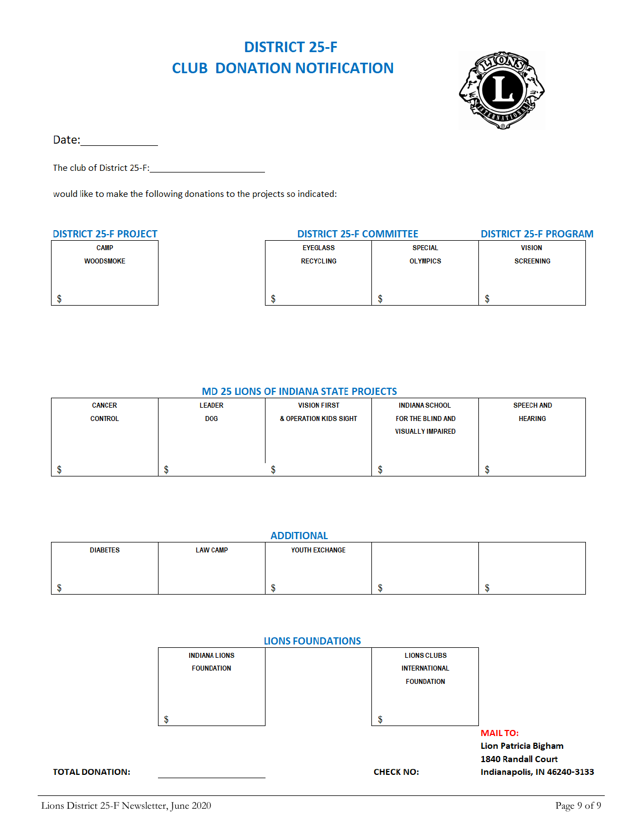### **DISTRICT 25-F CLUB DONATION NOTIFICATION**



Date: and the state of the state of the state of the state of the state of the state of the state of the state

The club of District 25-F:

would like to make the following donations to the projects so indicated:

| <b>DISTRICT 25-F PROJECT</b> | <b>DISTRICT 25-F COMMITTEE</b> |                 | <b>DISTRICT 25-F PROGRAM</b> |  |
|------------------------------|--------------------------------|-----------------|------------------------------|--|
| <b>CAMP</b>                  | <b>EYEGLASS</b>                | <b>SPECIAL</b>  | <b>VISION</b>                |  |
| <b>WOODSMOKE</b>             | <b>RECYCLING</b>               | <b>OLYMPICS</b> | <b>SCREENING</b>             |  |
|                              |                                |                 |                              |  |
|                              |                                |                 |                              |  |
|                              |                                |                 |                              |  |

#### **MD 25 LIONS OF INDIANA STATE PROJECTS**

| <b>CANCER</b>  | <b>LEADER</b> | <b>VISION FIRST</b>               | <b>INDIANA SCHOOL</b>    | <b>SPEECH AND</b> |
|----------------|---------------|-----------------------------------|--------------------------|-------------------|
| <b>CONTROL</b> | <b>DOG</b>    | <b>&amp; OPERATION KIDS SIGHT</b> | FOR THE BLIND AND        | <b>HEARING</b>    |
|                |               |                                   | <b>VISUALLY IMPAIRED</b> |                   |
|                |               |                                   |                          |                   |
|                |               |                                   |                          |                   |
|                |               |                                   |                          |                   |

| <b>ADDITIONAL</b> |                 |                |  |  |
|-------------------|-----------------|----------------|--|--|
| <b>DIABETES</b>   | <b>LAW CAMP</b> | YOUTH EXCHANGE |  |  |
|                   |                 |                |  |  |
|                   |                 |                |  |  |
|                   |                 |                |  |  |
|                   |                 |                |  |  |